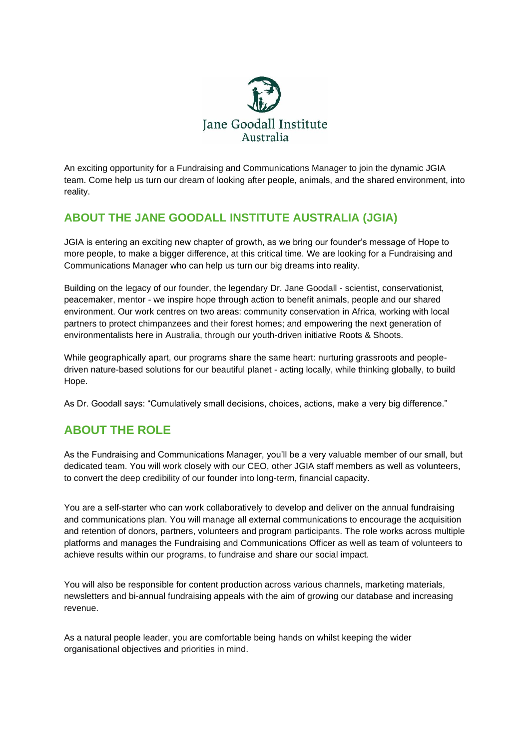

An exciting opportunity for a Fundraising and Communications Manager to join the dynamic JGIA team. Come help us turn our dream of looking after people, animals, and the shared environment, into reality.

# **ABOUT THE JANE GOODALL INSTITUTE AUSTRALIA (JGIA)**

JGIA is entering an exciting new chapter of growth, as we bring our founder's message of Hope to more people, to make a bigger difference, at this critical time. We are looking for a Fundraising and Communications Manager who can help us turn our big dreams into reality.

Building on the legacy of our founder, the legendary Dr. Jane Goodall - scientist, conservationist, peacemaker, mentor - we inspire hope through action to benefit animals, people and our shared environment. Our work centres on two areas: community conservation in Africa, working with local partners to protect chimpanzees and their forest homes; and empowering the next generation of environmentalists here in Australia, through our youth-driven initiative Roots & Shoots.

While geographically apart, our programs share the same heart: nurturing grassroots and peopledriven nature-based solutions for our beautiful planet - acting locally, while thinking globally, to build Hope.

As Dr. Goodall says: "Cumulatively small decisions, choices, actions, make a very big difference."

# **ABOUT THE ROLE**

As the Fundraising and Communications Manager, you'll be a very valuable member of our small, but dedicated team. You will work closely with our CEO, other JGIA staff members as well as volunteers, to convert the deep credibility of our founder into long-term, financial capacity.

You are a self-starter who can work collaboratively to develop and deliver on the annual fundraising and communications plan. You will manage all external communications to encourage the acquisition and retention of donors, partners, volunteers and program participants. The role works across multiple platforms and manages the Fundraising and Communications Officer as well as team of volunteers to achieve results within our programs, to fundraise and share our social impact.

You will also be responsible for content production across various channels, marketing materials, newsletters and bi-annual fundraising appeals with the aim of growing our database and increasing revenue.

As a natural people leader, you are comfortable being hands on whilst keeping the wider organisational objectives and priorities in mind.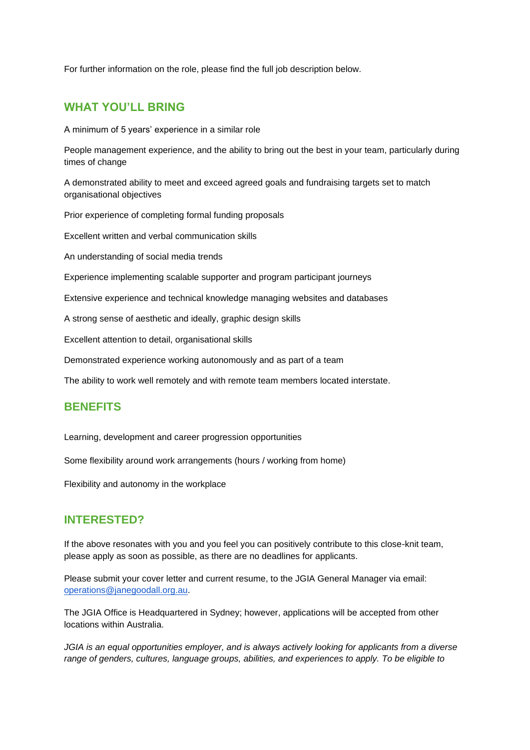For further information on the role, please find the full job description below.

## **WHAT YOU'LL BRING**

A minimum of 5 years' experience in a similar role

People management experience, and the ability to bring out the best in your team, particularly during times of change

A demonstrated ability to meet and exceed agreed goals and fundraising targets set to match organisational objectives

Prior experience of completing formal funding proposals

Excellent written and verbal communication skills

An understanding of social media trends

Experience implementing scalable supporter and program participant journeys

Extensive experience and technical knowledge managing websites and databases

A strong sense of aesthetic and ideally, graphic design skills

Excellent attention to detail, organisational skills

Demonstrated experience working autonomously and as part of a team

The ability to work well remotely and with remote team members located interstate.

## **BENEFITS**

Learning, development and career progression opportunities

Some flexibility around work arrangements (hours / working from home)

Flexibility and autonomy in the workplace

## **INTERESTED?**

If the above resonates with you and you feel you can positively contribute to this close-knit team, please apply as soon as possible, as there are no deadlines for applicants.

Please submit your cover letter and current resume, to the JGIA General Manager via email: [operations@janegoodall.org.au.](mailto:operations@janegoodall.org.au)

The JGIA Office is Headquartered in Sydney; however, applications will be accepted from other locations within Australia.

*JGIA is an equal opportunities employer, and is always actively looking for applicants from a diverse range of genders, cultures, language groups, abilities, and experiences to apply. To be eligible to*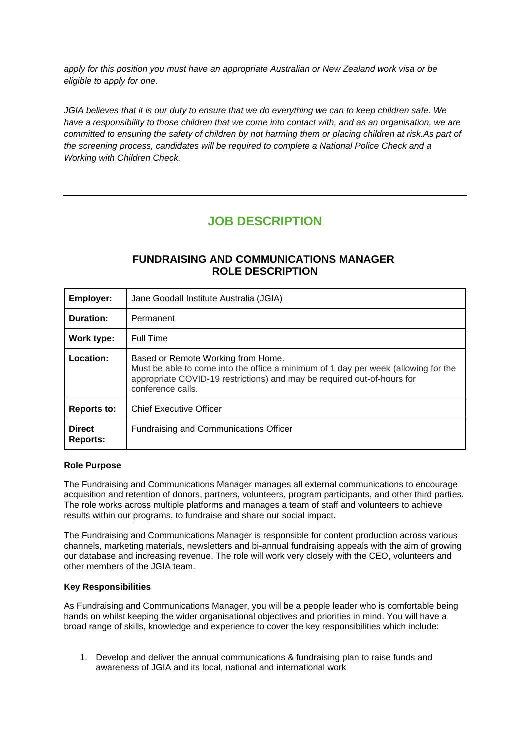*apply for this position you must have an appropriate Australian or New Zealand work visa or be eligible to apply for one.*

*JGIA believes that it is our duty to ensure that we do everything we can to keep children safe. We have a responsibility to those children that we come into contact with, and as an organisation, we are committed to ensuring the safety of children by not harming them or placing children at risk.As part of the screening process, candidates will be required to complete a National Police Check and a Working with Children Check.*

# **JOB DESCRIPTION**

## **FUNDRAISING AND COMMUNICATIONS MANAGER ROLE DESCRIPTION**

| <b>Employer:</b>          | Jane Goodall Institute Australia (JGIA)                                                                                                                                                                                  |
|---------------------------|--------------------------------------------------------------------------------------------------------------------------------------------------------------------------------------------------------------------------|
| Duration:                 | Permanent                                                                                                                                                                                                                |
| Work type:                | Full Time                                                                                                                                                                                                                |
| Location:                 | Based or Remote Working from Home.<br>Must be able to come into the office a minimum of 1 day per week (allowing for the<br>appropriate COVID-19 restrictions) and may be required out-of-hours for<br>conference calls. |
| <b>Reports to:</b>        | <b>Chief Executive Officer</b>                                                                                                                                                                                           |
| <b>Direct</b><br>Reports: | <b>Fundraising and Communications Officer</b>                                                                                                                                                                            |

## **Role Purpose**

The Fundraising and Communications Manager manages all external communications to encourage acquisition and retention of donors, partners, volunteers, program participants, and other third parties. The role works across multiple platforms and manages a team of staff and volunteers to achieve results within our programs, to fundraise and share our social impact.

The Fundraising and Communications Manager is responsible for content production across various channels, marketing materials, newsletters and bi-annual fundraising appeals with the aim of growing our database and increasing revenue. The role will work very closely with the CEO, volunteers and other members of the JGIA team.

#### **Key Responsibilities**

As Fundraising and Communications Manager, you will be a people leader who is comfortable being hands on whilst keeping the wider organisational objectives and priorities in mind. You will have a broad range of skills, knowledge and experience to cover the key responsibilities which include:

1. Develop and deliver the annual communications & fundraising plan to raise funds and awareness of JGIA and its local, national and international work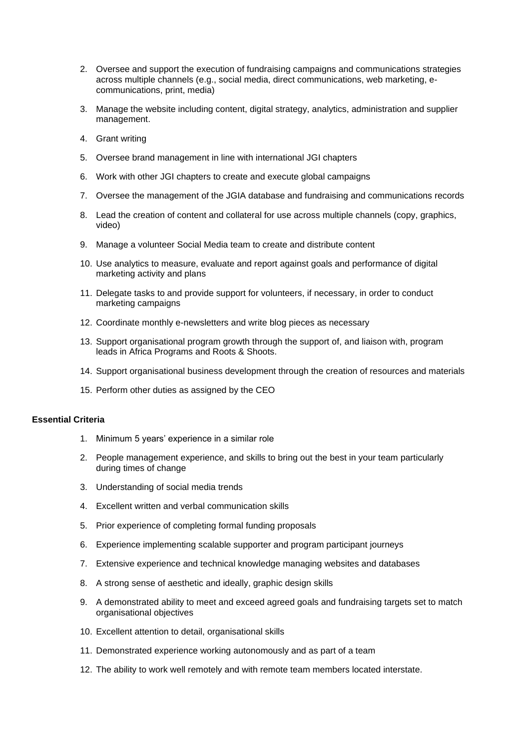- 2. Oversee and support the execution of fundraising campaigns and communications strategies across multiple channels (e.g., social media, direct communications, web marketing, ecommunications, print, media)
- 3. Manage the website including content, digital strategy, analytics, administration and supplier management.
- 4. Grant writing
- 5. Oversee brand management in line with international JGI chapters
- 6. Work with other JGI chapters to create and execute global campaigns
- 7. Oversee the management of the JGIA database and fundraising and communications records
- 8. Lead the creation of content and collateral for use across multiple channels (copy, graphics, video)
- 9. Manage a volunteer Social Media team to create and distribute content
- 10. Use analytics to measure, evaluate and report against goals and performance of digital marketing activity and plans
- 11. Delegate tasks to and provide support for volunteers, if necessary, in order to conduct marketing campaigns
- 12. Coordinate monthly e-newsletters and write blog pieces as necessary
- 13. Support organisational program growth through the support of, and liaison with, program leads in Africa Programs and Roots & Shoots.
- 14. Support organisational business development through the creation of resources and materials
- 15. Perform other duties as assigned by the CEO

#### **Essential Criteria**

- 1. Minimum 5 years' experience in a similar role
- 2. People management experience, and skills to bring out the best in your team particularly during times of change
- 3. Understanding of social media trends
- 4. Excellent written and verbal communication skills
- 5. Prior experience of completing formal funding proposals
- 6. Experience implementing scalable supporter and program participant journeys
- 7. Extensive experience and technical knowledge managing websites and databases
- 8. A strong sense of aesthetic and ideally, graphic design skills
- 9. A demonstrated ability to meet and exceed agreed goals and fundraising targets set to match organisational objectives
- 10. Excellent attention to detail, organisational skills
- 11. Demonstrated experience working autonomously and as part of a team
- 12. The ability to work well remotely and with remote team members located interstate.